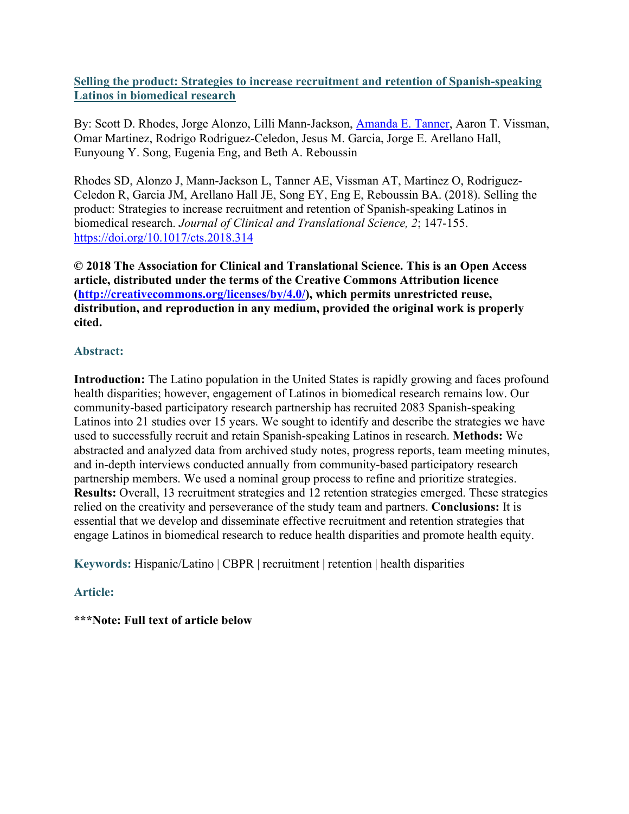**Selling the product: Strategies to increase recruitment and retention of Spanish-speaking Latinos in biomedical research**

By: Scott D. Rhodes, Jorge Alonzo, Lilli Mann-Jackson, [Amanda E. Tanner,](https://libres.uncg.edu/ir/uncg/clist.aspx?id=7746) Aaron T. Vissman, Omar Martinez, Rodrigo Rodriguez-Celedon, Jesus M. Garcia, Jorge E. Arellano Hall, Eunyoung Y. Song, Eugenia Eng, and Beth A. Reboussin

Rhodes SD, Alonzo J, Mann-Jackson L, Tanner AE, Vissman AT, Martinez O, Rodriguez-Celedon R, Garcia JM, Arellano Hall JE, Song EY, Eng E, Reboussin BA. (2018). Selling the product: Strategies to increase recruitment and retention of Spanish-speaking Latinos in biomedical research. *Journal of Clinical and Translational Science, 2*; 147-155. <https://doi.org/10.1017/cts.2018.314>

**© 2018 The Association for Clinical and Translational Science. This is an Open Access article, distributed under the terms of the Creative Commons Attribution licence [\(http://creativecommons.org/licenses/by/4.0/\)](https://creativecommons.org/licenses/by/4.0/), which permits unrestricted reuse, distribution, and reproduction in any medium, provided the original work is properly cited.**

### **Abstract:**

**Introduction:** The Latino population in the United States is rapidly growing and faces profound health disparities; however, engagement of Latinos in biomedical research remains low. Our community-based participatory research partnership has recruited 2083 Spanish-speaking Latinos into 21 studies over 15 years. We sought to identify and describe the strategies we have used to successfully recruit and retain Spanish-speaking Latinos in research. **Methods:** We abstracted and analyzed data from archived study notes, progress reports, team meeting minutes, and in-depth interviews conducted annually from community-based participatory research partnership members. We used a nominal group process to refine and prioritize strategies. **Results:** Overall, 13 recruitment strategies and 12 retention strategies emerged. These strategies relied on the creativity and perseverance of the study team and partners. **Conclusions:** It is essential that we develop and disseminate effective recruitment and retention strategies that engage Latinos in biomedical research to reduce health disparities and promote health equity.

**Keywords:** Hispanic/Latino | CBPR | recruitment | retention | health disparities

# **Article:**

**\*\*\*Note: Full text of article below**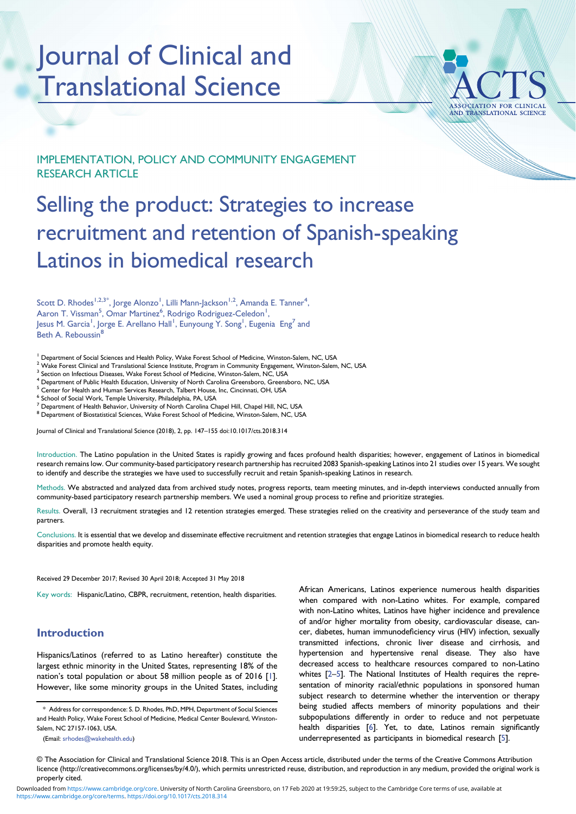# Journal of Clinical and Translational Science

**CIATION FOR** AND TRANSLATIONAL SCIENCE

## IMPLEMENTATION, POLICY AND COMMUNITY ENGAGEMENT RESEARCH ARTICLE

# Selling the product: Strategies to increase recruitment and retention of Spanish-speaking Latinos in biomedical research

Scott D. Rhodes<sup>1,2,3\*</sup>, Jorge Alonzo<sup>1</sup>, Lilli Mann-Jackson<sup>1,2</sup>, Amanda E. Tanner<sup>4</sup>, Aaron T. Vissman<sup>5</sup>, Omar Martinez<sup>6</sup>, Rodrigo Rodriguez-Celedon<sup>1</sup>, Jesus M. Garcia<sup>1</sup>, Jorge E. Arellano Hall<sup>1</sup>, Eunyoung Y. Song<sup>1</sup>, Eugenia Eng<sup>7</sup> and Beth A. Reboussin<sup>8</sup>

 $<sup>1</sup>$  Department of Social Sciences and Health Policy, Wake Forest School of Medicine, Winston-Salem, NC, USA</sup>

<sup>2</sup> Wake Forest Clinical and Translational Science Institute, Program in Community Engagement, Winston-Salem, NC, USA

<sup>3</sup> Section on Infectious Diseases, Wake Forest School of Medicine, Winston-Salem, NC, USA

- <sup>4</sup> Department of Public Health Education, University of North Carolina Greensboro, Greensboro, NC, USA
- <sup>5</sup> Center for Health and Human Services Research, Talbert House, Inc, Cincinnati, OH, USA

<sup>6</sup> School of Social Work, Temple University, Philadelphia, PA, USA

<sup>7</sup> Department of Health Behavior, University of North Carolina Chapel Hill, Chapel Hill, NC, USA

 $8$  Department of Biostatistical Sciences, Wake Forest School of Medicine, Winston-Salem, NC, USA

Journal of Clinical and Translational Science (2018), 2, pp. 147–155 doi:[10.1017/cts.2018.314](https://doi.org/10.1017/cts.2018.314)

Introduction. The Latino population in the United States is rapidly growing and faces profound health disparities; however, engagement of Latinos in biomedical research remains low. Our community-based participatory research partnership has recruited 2083 Spanish-speaking Latinos into 21 studies over 15 years. We sought to identify and describe the strategies we have used to successfully recruit and retain Spanish-speaking Latinos in research.

Methods. We abstracted and analyzed data from archived study notes, progress reports, team meeting minutes, and in-depth interviews conducted annually from community-based participatory research partnership members. We used a nominal group process to refine and prioritize strategies.

Results. Overall, 13 recruitment strategies and 12 retention strategies emerged. These strategies relied on the creativity and perseverance of the study team and partners.

Conclusions. It is essential that we develop and disseminate effective recruitment and retention strategies that engage Latinos in biomedical research to reduce health disparities and promote health equity.

Received 29 December 2017; Revised 30 April 2018; Accepted 31 May 2018

Key words: Hispanic/Latino, CBPR, recruitment, retention, health disparities.

#### Introduction

Hispanics/Latinos (referred to as Latino hereafter) constitute the largest ethnic minority in the United States, representing 18% of the nation's total population or about 58 million people as of 2016 [[1](#page-8-0)]. However, like some minority groups in the United States, including

\* Address for correspondence: S. D. Rhodes, PhD, MPH, Department of Social Sciences and Health Policy, Wake Forest School of Medicine, Medical Center Boulevard, Winston-Salem, NC 27157-1063, USA.

(Email: [srhodes@wakehealth.edu](mailto:srhodes@wakehealth.edu))

African Americans, Latinos experience numerous health disparities when compared with non-Latino whites. For example, compared with non-Latino whites, Latinos have higher incidence and prevalence of and/or higher mortality from obesity, cardiovascular disease, cancer, diabetes, human immunodeficiency virus (HIV) infection, sexually transmitted infections, chronic liver disease and cirrhosis, and hypertension and hypertensive renal disease. They also have decreased access to healthcare resources compared to non-Latino whites [\[2](#page-8-0)-[5](#page-8-0)]. The National Institutes of Health requires the representation of minority racial/ethnic populations in sponsored human subject research to determine whether the intervention or therapy being studied affects members of minority populations and their subpopulations differently in order to reduce and not perpetuate health disparities [[6](#page-8-0)]. Yet, to date, Latinos remain significantly underrepresented as participants in biomedical research [[5\]](#page-8-0).

© The Association for Clinical and Translational Science 2018. This is an Open Access article, distributed under the terms of the Creative Commons Attribution licence (http://creativecommons.org/licenses/by/4.0/), which permits unrestricted reuse, distribution, and reproduction in any medium, provided the original work is properly cited.

[https://www.cambridge.org/core/terms.](https://www.cambridge.org/core/terms) <https://doi.org/10.1017/cts.2018.314> Downloaded from [https://www.cambridge.org/core.](https://www.cambridge.org/core) University of North Carolina Greensboro, on 17 Feb 2020 at 19:59:25, subject to the Cambridge Core terms of use, available at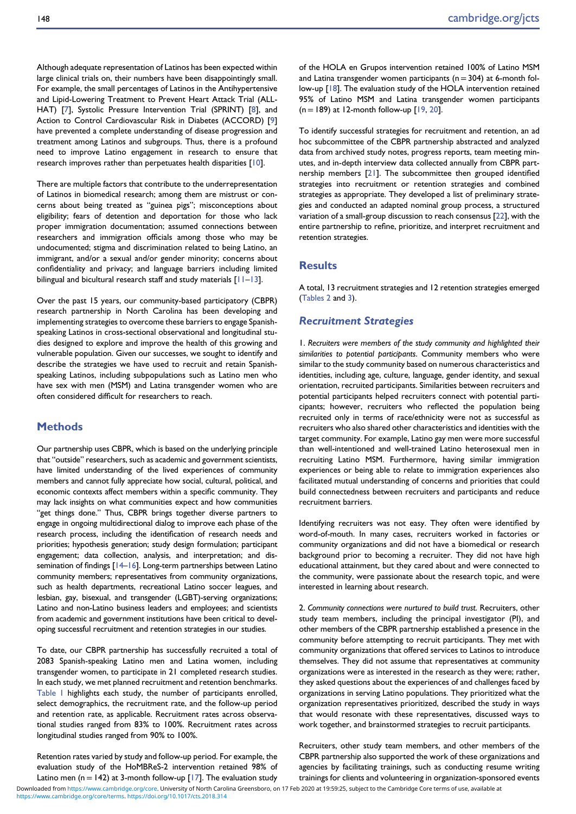Although adequate representation of Latinos has been expected within large clinical trials on, their numbers have been disappointingly small. For example, the small percentages of Latinos in the Antihypertensive and Lipid-Lowering Treatment to Prevent Heart Attack Trial (ALL-HAT) [\[7\]](#page-8-0), Systolic Pressure Intervention Trial (SPRINT) [\[8\]](#page-8-0), and Action to Control Cardiovascular Risk in Diabetes (ACCORD) [[9](#page-8-0)] have prevented a complete understanding of disease progression and treatment among Latinos and subgroups. Thus, there is a profound need to improve Latino engagement in research to ensure that research improves rather than perpetuates health disparities [\[10](#page-8-0)].

There are multiple factors that contribute to the underrepresentation of Latinos in biomedical research; among them are mistrust or concerns about being treated as "guinea pigs"; misconceptions about eligibility; fears of detention and deportation for those who lack proper immigration documentation; assumed connections between researchers and immigration officials among those who may be undocumented; stigma and discrimination related to being Latino, an immigrant, and/or a sexual and/or gender minority; concerns about confidentiality and privacy; and language barriers including limited bilingual and bicultural research staff and study materials  $[11-13]$  $[11-13]$  $[11-13]$  $[11-13]$  $[11-13]$ .

Over the past 15 years, our community-based participatory (CBPR) research partnership in North Carolina has been developing and implementing strategies to overcome these barriers to engage Spanishspeaking Latinos in cross-sectional observational and longitudinal studies designed to explore and improve the health of this growing and vulnerable population. Given our successes, we sought to identify and describe the strategies we have used to recruit and retain Spanishspeaking Latinos, including subpopulations such as Latino men who have sex with men (MSM) and Latina transgender women who are often considered difficult for researchers to reach.

#### **Methods**

Our partnership uses CBPR, which is based on the underlying principle that "outside" researchers, such as academic and government scientists, have limited understanding of the lived experiences of community members and cannot fully appreciate how social, cultural, political, and economic contexts affect members within a specific community. They may lack insights on what communities expect and how communities "get things done." Thus, CBPR brings together diverse partners to engage in ongoing multidirectional dialog to improve each phase of the research process, including the identification of research needs and priorities; hypothesis generation; study design formulation; participant engagement; data collection, analysis, and interpretation; and dis-semination of findings [[14](#page-8-0)–[16\]](#page-8-0). Long-term partnerships between Latino community members; representatives from community organizations, such as health departments, recreational Latino soccer leagues, and lesbian, gay, bisexual, and transgender (LGBT)-serving organizations; Latino and non-Latino business leaders and employees; and scientists from academic and government institutions have been critical to developing successful recruitment and retention strategies in our studies.

To date, our CBPR partnership has successfully recruited a total of 2083 Spanish-speaking Latino men and Latina women, including transgender women, to participate in 21 completed research studies. In each study, we met planned recruitment and retention benchmarks. [Table 1](#page-3-0) highlights each study, the number of participants enrolled, select demographics, the recruitment rate, and the follow-up period and retention rate, as applicable. Recruitment rates across observational studies ranged from 83% to 100%. Recruitment rates across longitudinal studies ranged from 90% to 100%.

Retention rates varied by study and follow-up period. For example, the evaluation study of the HoMBReS-2 intervention retained 98% of Latino men (n = 142) at 3-month follow-up [\[17](#page-8-0)]. The evaluation study

[https://www.cambridge.org/core/terms.](https://www.cambridge.org/core/terms) <https://doi.org/10.1017/cts.2018.314>

of the HOLA en Grupos intervention retained 100% of Latino MSM and Latina transgender women participants ( $n = 304$ ) at 6-month follow-up [[18\]](#page-8-0). The evaluation study of the HOLA intervention retained 95% of Latino MSM and Latina transgender women participants  $(n = 189)$  at 12-month follow-up  $[19, 20]$  $[19, 20]$  $[19, 20]$  $[19, 20]$ .

To identify successful strategies for recruitment and retention, an ad hoc subcommittee of the CBPR partnership abstracted and analyzed data from archived study notes, progress reports, team meeting minutes, and in-depth interview data collected annually from CBPR partnership members [\[21](#page-8-0)]. The subcommittee then grouped identified strategies into recruitment or retention strategies and combined strategies as appropriate. They developed a list of preliminary strategies and conducted an adapted nominal group process, a structured variation of a small-group discussion to reach consensus [[22\]](#page-8-0), with the entire partnership to refine, prioritize, and interpret recruitment and retention strategies.

#### **Results**

A total, 13 recruitment strategies and 12 retention strategies emerged [\(Tables 2](#page-5-0) and [3](#page-5-0)).

#### Recruitment Strategies

1. Recruiters were members of the study community and highlighted their similarities to potential participants. Community members who were similar to the study community based on numerous characteristics and identities, including age, culture, language, gender identity, and sexual orientation, recruited participants. Similarities between recruiters and potential participants helped recruiters connect with potential participants; however, recruiters who reflected the population being recruited only in terms of race/ethnicity were not as successful as recruiters who also shared other characteristics and identities with the target community. For example, Latino gay men were more successful than well-intentioned and well-trained Latino heterosexual men in recruiting Latino MSM. Furthermore, having similar immigration experiences or being able to relate to immigration experiences also facilitated mutual understanding of concerns and priorities that could build connectedness between recruiters and participants and reduce recruitment barriers.

Identifying recruiters was not easy. They often were identified by word-of-mouth. In many cases, recruiters worked in factories or community organizations and did not have a biomedical or research background prior to becoming a recruiter. They did not have high educational attainment, but they cared about and were connected to the community, were passionate about the research topic, and were interested in learning about research.

2. Community connections were nurtured to build trust. Recruiters, other study team members, including the principal investigator (PI), and other members of the CBPR partnership established a presence in the community before attempting to recruit participants. They met with community organizations that offered services to Latinos to introduce themselves. They did not assume that representatives at community organizations were as interested in the research as they were; rather, they asked questions about the experiences of and challenges faced by organizations in serving Latino populations. They prioritized what the organization representatives prioritized, described the study in ways that would resonate with these representatives, discussed ways to work together, and brainstormed strategies to recruit participants.

Recruiters, other study team members, and other members of the CBPR partnership also supported the work of these organizations and agencies by facilitating trainings, such as conducting resume writing trainings for clients and volunteering in organization-sponsored events Downloaded from [https://www.cambridge.org/core.](https://www.cambridge.org/core) University of North Carolina Greensboro, on 17 Feb 2020 at 19:59:25, subject to the Cambridge Core terms of use, available at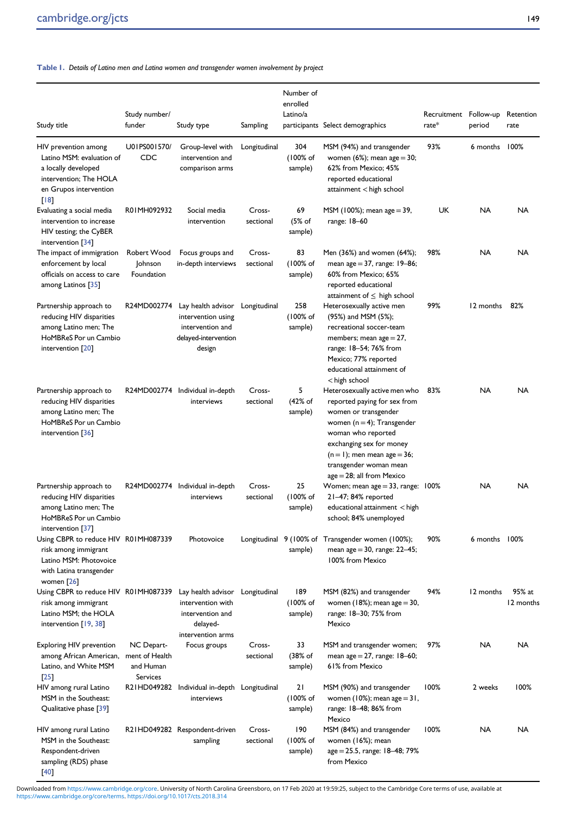<span id="page-3-0"></span>Table 1. Details of Latino men and Latina women and transgender women involvement by project

| Study title                                                                                                                              | Study number/<br>funder                                      | Study type                                                                                                  | Sampling            | Number of<br>enrolled<br>Latino/a | participants Select demographics                                                                                                                                                                                                                                     | Recruitment<br>rate* | Follow-up<br>period | Retention<br>rate   |
|------------------------------------------------------------------------------------------------------------------------------------------|--------------------------------------------------------------|-------------------------------------------------------------------------------------------------------------|---------------------|-----------------------------------|----------------------------------------------------------------------------------------------------------------------------------------------------------------------------------------------------------------------------------------------------------------------|----------------------|---------------------|---------------------|
| HIV prevention among<br>Latino MSM: evaluation of<br>a locally developed<br>intervention; The HOLA<br>en Grupos intervention<br>$[18]$   | U01PS001570/<br>CDC                                          | Group-level with<br>intervention and<br>comparison arms                                                     | Longitudinal        | 304<br>(100% of<br>sample)        | MSM (94%) and transgender<br>women $(6\%)$ ; mean age = 30;<br>62% from Mexico; 45%<br>reported educational<br>attainment < high school                                                                                                                              | 93%                  | 6 months            | $100\%$             |
| Evaluating a social media<br>intervention to increase<br>HIV testing; the CyBER<br>intervention $\sqrt{34}$                              | R01MH092932                                                  | Social media<br>intervention                                                                                | Cross-<br>sectional | 69<br>(5% of<br>sample)           | MSM (100%); mean age = 39,<br>range: 18-60                                                                                                                                                                                                                           | UK                   | <b>NA</b>           | NA                  |
| The impact of immigration<br>enforcement by local<br>officials on access to care<br>among Latinos [35]                                   | Robert Wood<br>Johnson<br>Foundation                         | Focus groups and<br>in-depth interviews                                                                     | Cross-<br>sectional | 83<br>(100% of<br>sample)         | Men (36%) and women (64%);<br>mean age $= 37$ , range: 19–86;<br>60% from Mexico; 65%<br>reported educational<br>attainment of $\leq$ high school                                                                                                                    | 98%                  | <b>NA</b>           | NA                  |
| Partnership approach to<br>reducing HIV disparities<br>among Latino men; The<br>HoMBReS Por un Cambio<br>intervention [20]               | R24MD002774                                                  | Lay health advisor Longitudinal<br>intervention using<br>intervention and<br>delayed-intervention<br>design |                     | 258<br>(100% of<br>sample)        | Heterosexually active men<br>(95%) and MSM (5%);<br>recreational soccer-team<br>members; mean age $= 27$ ,<br>range: 18-54; 76% from<br>Mexico; 77% reported<br>educational attainment of<br>< high school                                                           | 99%                  | 12 months           | 82%                 |
| Partnership approach to<br>reducing HIV disparities<br>among Latino men; The<br>HoMBReS Por un Cambio<br>intervention $\lceil 36 \rceil$ |                                                              | R24MD002774 Individual in-depth<br>interviews                                                               | Cross-<br>sectional | 5<br>(42% of<br>sample)           | Heterosexually active men who<br>reported paying for sex from<br>women or transgender<br>women $(n = 4)$ ; Transgender<br>woman who reported<br>exchanging sex for money<br>$(n = 1)$ ; men mean age = 36;<br>transgender woman mean<br>$age = 28$ ; all from Mexico | 83%                  | <b>NA</b>           | <b>NA</b>           |
| Partnership approach to<br>reducing HIV disparities<br>among Latino men; The<br>HoMBReS Por un Cambio<br>intervention $\sqrt{37}$        |                                                              | R24MD002774 Individual in-depth<br>interviews                                                               | Cross-<br>sectional | 25<br>(100% of<br>sample)         | Women; mean age = 33, range: 100%<br>21-47; 84% reported<br>educational attainment < high<br>school; 84% unemployed                                                                                                                                                  |                      | <b>NA</b>           | NA                  |
| Using CBPR to reduce HIV R01MH087339<br>risk among immigrant<br>Latino MSM: Photovoice<br>with Latina transgender<br>women $[26]$        |                                                              | Photovoice                                                                                                  |                     | sample)                           | Longitudinal 9 (100% of Transgender women (100%);<br>mean age $= 30$ , range: $22 - 45$ ;<br>100% from Mexico                                                                                                                                                        | 90%                  | 6 months 100%       |                     |
| Using CBPR to reduce HIV R01MH087339<br>risk among immigrant<br>Latino MSM; the HOLA<br>intervention $[19, 38]$                          |                                                              | Lay health advisor Longitudinal<br>intervention with<br>intervention and<br>delayed-<br>intervention arms   |                     | 189<br>(100% of<br>sample)        | MSM (82%) and transgender<br>women (18%); mean $age = 30$ ,<br>range: 18-30; 75% from<br>Mexico                                                                                                                                                                      | 94%                  | 12 months           | 95% at<br>12 months |
| <b>Exploring HIV prevention</b><br>among African American,<br>Latino, and White MSM<br>$\sqrt{25}$                                       | NC Depart-<br>ment of Health<br>and Human<br><b>Services</b> | Focus groups                                                                                                | Cross-<br>sectional | 33<br>(38% of<br>sample)          | MSM and transgender women;<br>mean age = $27$ , range: $18 - 60$ ;<br>61% from Mexico                                                                                                                                                                                | 97%                  | <b>NA</b>           | NA                  |
| HIV among rural Latino<br>MSM in the Southeast:<br>Qualitative phase [39]                                                                | R21HD049282                                                  | Individual in-depth<br>interviews                                                                           | Longitudinal        | 21<br>(100% of<br>sample)         | MSM (90%) and transgender<br>women (10%); mean age = $31$ ,<br>range: 18-48; 86% from<br>Mexico                                                                                                                                                                      | 100%                 | 2 weeks             | 100%                |
| HIV among rural Latino<br>MSM in the Southeast:<br>Respondent-driven<br>sampling (RDS) phase<br>$[40]$                                   |                                                              | R21HD049282 Respondent-driven<br>sampling                                                                   | Cross-<br>sectional | 190<br>(100% of<br>sample)        | MSM (84%) and transgender<br>women (16%); mean<br>age = 25.5, range: 18–48; 79%<br>from Mexico                                                                                                                                                                       | 100%                 | <b>NA</b>           | NA                  |

Downloaded from https://www.cambridge.org/core. University of North Carolina Greensboro, on 17 Feb 2020 at 19:59:25, subject to the Cambridge Core terms of use, available at<br>[https://www.cambridge.org/core/terms.](https://www.cambridge.org/core/terms) https://do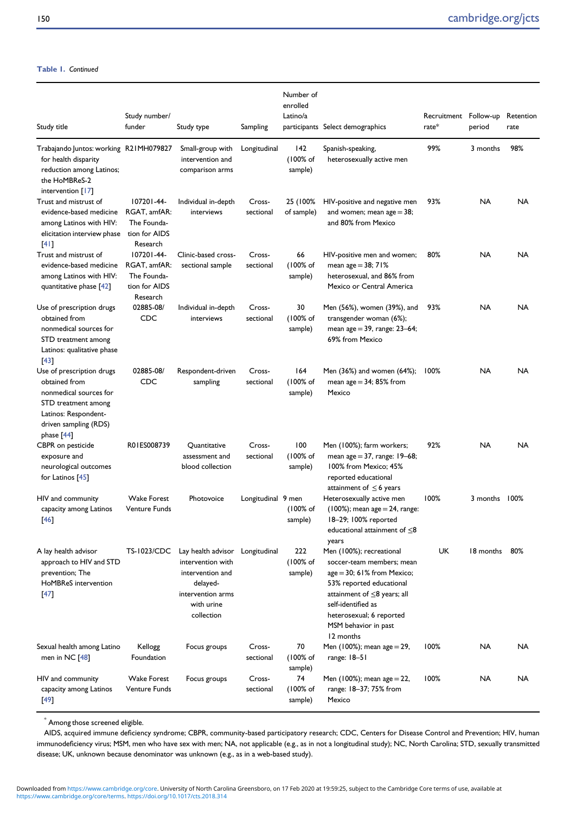#### Table 1. Continued

| Study title                                                                                                                                                  | Study number/<br>funder                                                | Study type                                                                                                               | Sampling            | Number of<br>enrolled<br>Latino/a     | participants Select demographics                                                                                                                                                                                                            | Recruitment<br>$rate*$ | Follow-up<br>period | Retention<br>rate |
|--------------------------------------------------------------------------------------------------------------------------------------------------------------|------------------------------------------------------------------------|--------------------------------------------------------------------------------------------------------------------------|---------------------|---------------------------------------|---------------------------------------------------------------------------------------------------------------------------------------------------------------------------------------------------------------------------------------------|------------------------|---------------------|-------------------|
| Trabajando Juntos: working R21MH079827<br>for health disparity<br>reduction among Latinos;<br>the HoMBReS-2                                                  |                                                                        | Small-group with<br>intervention and<br>comparison arms                                                                  | Longitudinal        | 142<br>(100% of<br>sample)            | Spanish-speaking,<br>heterosexually active men                                                                                                                                                                                              | 99%                    | 3 months            | 98%               |
| intervention $\lceil \cdot \rceil$<br>Trust and mistrust of<br>evidence-based medicine<br>among Latinos with HIV:<br>elicitation interview phase<br> 4       | 107201-44-<br>RGAT, amfAR:<br>The Founda-<br>tion for AIDS<br>Research | Individual in-depth<br>interviews                                                                                        | Cross-<br>sectional | 25 (100%)<br>of sample)               | HIV-positive and negative men<br>and women; mean $age = 38$ ;<br>and 80% from Mexico                                                                                                                                                        | 93%                    | <b>NA</b>           | NA                |
| Trust and mistrust of<br>evidence-based medicine<br>among Latinos with HIV:<br>quantitative phase [42]                                                       | 107201-44-<br>RGAT, amfAR:<br>The Founda-<br>tion for AIDS<br>Research | Clinic-based cross-<br>sectional sample                                                                                  | Cross-<br>sectional | 66<br>(100% of<br>sample)             | HIV-positive men and women;<br>mean $age = 38; 71%$<br>heterosexual, and 86% from<br>Mexico or Central America                                                                                                                              | 80%                    | <b>NA</b>           | NA                |
| Use of prescription drugs<br>obtained from<br>nonmedical sources for<br>STD treatment among<br>Latinos: qualitative phase<br>[43]                            | 02885-08/<br><b>CDC</b>                                                | Individual in-depth<br>interviews                                                                                        | Cross-<br>sectional | 30<br>$(100\% \text{ of }$<br>sample) | Men (56%), women (39%), and<br>transgender woman (6%);<br>mean age = $39$ , range: $23-64$ ;<br>69% from Mexico                                                                                                                             | 93%                    | <b>NA</b>           | NA                |
| Use of prescription drugs<br>obtained from<br>nonmedical sources for<br>STD treatment among<br>Latinos: Respondent-<br>driven sampling (RDS)<br>phase $[44]$ | 02885-08/<br>CDC                                                       | Respondent-driven<br>sampling                                                                                            | Cross-<br>sectional | 164<br>(100% of<br>sample)            | Men (36%) and women (64%);<br>mean age $=$ 34; 85% from<br>Mexico                                                                                                                                                                           | $100\%$                | <b>NA</b>           | NA                |
| CBPR on pesticide<br>exposure and<br>neurological outcomes<br>for Latinos $[45]$                                                                             | R01ES008739                                                            | Quantitative<br>assessment and<br>blood collection                                                                       | Cross-<br>sectional | 100<br>(100% of<br>sample)            | Men (100%); farm workers;<br>mean age = $37$ , range: $19 - 68$ ;<br>100% from Mexico; 45%<br>reported educational<br>attainment of $\leq$ 6 years                                                                                          | 92%                    | <b>NA</b>           | NA                |
| HIV and community<br>capacity among Latinos<br>$[46]$                                                                                                        | <b>Wake Forest</b><br><b>Venture Funds</b>                             | Photovoice                                                                                                               | Longitudinal 9 men  | $(100\% \text{ of }$<br>sample)       | Heterosexually active men<br>$(100\%)$ ; mean age = 24, range:<br>18-29; 100% reported<br>educational attainment of $\leq$ 8<br>years                                                                                                       | 100%                   | 3 months 100%       |                   |
| A lay health advisor<br>approach to HIV and STD<br>prevention; The<br><b>HoMBReS</b> intervention<br>[47]                                                    | TS-1023/CDC                                                            | Lay health advisor<br>intervention with<br>intervention and<br>delayed-<br>intervention arms<br>with urine<br>collection | Longitudinal        | 222<br>(100% of<br>sample)            | Men (100%); recreational<br>soccer-team members; mean<br>age = 30; 61% from Mexico;<br>53% reported educational<br>attainment of $\leq$ 8 years; all<br>self-identified as<br>heterosexual; 6 reported<br>MSM behavior in past<br>12 months | UK                     | 18 months           | 80%               |
| Sexual health among Latino<br>men in NC $[48]$                                                                                                               | Kellogg<br>Foundation                                                  | Focus groups                                                                                                             | Cross-<br>sectional | 70<br>$(100\% \text{ of }$<br>sample) | Men (100%); mean $age = 29$ ,<br>range: 18-51                                                                                                                                                                                               | 100%                   | <b>NA</b>           | NA                |
| HIV and community<br>capacity among Latinos<br>$[49]$                                                                                                        | <b>Wake Forest</b><br>Venture Funds                                    | Focus groups                                                                                                             | Cross-<br>sectional | 74<br>(100% of<br>sample)             | Men (100%); mean $age = 22$ ,<br>range: 18-37; 75% from<br>Mexico                                                                                                                                                                           | 100%                   | NA                  | NA                |

\* Among those screened eligible.

AIDS, acquired immune deficiency syndrome; CBPR, community-based participatory research; CDC, Centers for Disease Control and Prevention; HIV, human immunodeficiency virus; MSM, men who have sex with men; NA, not applicable (e.g., as in not a longitudinal study); NC, North Carolina; STD, sexually transmitted disease; UK, unknown because denominator was unknown (e.g., as in a web-based study).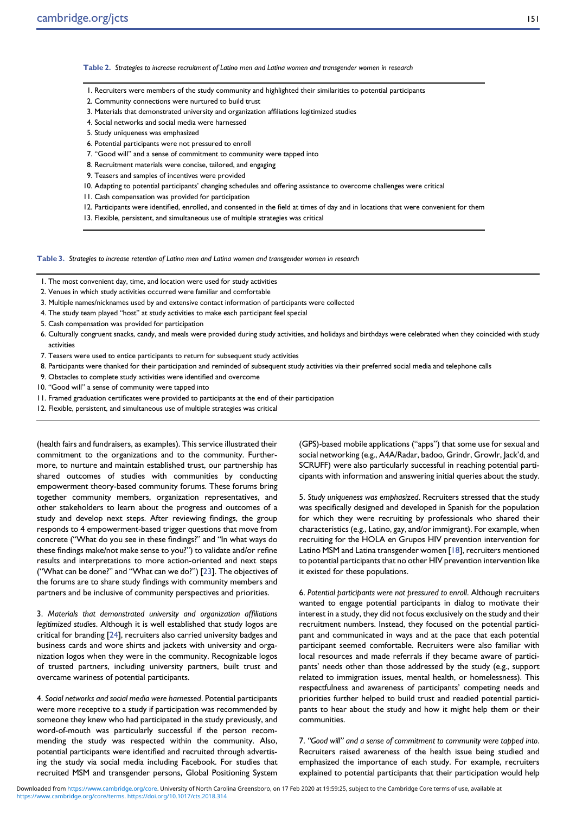<span id="page-5-0"></span>Table 2. Strategies to increase recruitment of Latino men and Latina women and transgender women in research

- 1. Recruiters were members of the study community and highlighted their similarities to potential participants
- 2. Community connections were nurtured to build trust
- 3. Materials that demonstrated university and organization affiliations legitimized studies
- 4. Social networks and social media were harnessed
- 5. Study uniqueness was emphasized
- 6. Potential participants were not pressured to enroll
- 7. "Good will" and a sense of commitment to community were tapped into
- 8. Recruitment materials were concise, tailored, and engaging
- 9. Teasers and samples of incentives were provided
- 10. Adapting to potential participants' changing schedules and offering assistance to overcome challenges were critical
- 11. Cash compensation was provided for participation
- 12. Participants were identified, enrolled, and consented in the field at times of day and in locations that were convenient for them
- 13. Flexible, persistent, and simultaneous use of multiple strategies was critical

Table 3. Strategies to increase retention of Latino men and Latina women and transgender women in research

- 1. The most convenient day, time, and location were used for study activities
- 2. Venues in which study activities occurred were familiar and comfortable
- 3. Multiple names/nicknames used by and extensive contact information of participants were collected
- 4. The study team played "host" at study activities to make each participant feel special
- 5. Cash compensation was provided for participation
- 6. Culturally congruent snacks, candy, and meals were provided during study activities, and holidays and birthdays were celebrated when they coincided with study activities
- 7. Teasers were used to entice participants to return for subsequent study activities
- 8. Participants were thanked for their participation and reminded of subsequent study activities via their preferred social media and telephone calls
- 9. Obstacles to complete study activities were identified and overcome
- 10. "Good will" a sense of community were tapped into
- 11. Framed graduation certificates were provided to participants at the end of their participation
- 12. Flexible, persistent, and simultaneous use of multiple strategies was critical

(health fairs and fundraisers, as examples). This service illustrated their commitment to the organizations and to the community. Furthermore, to nurture and maintain established trust, our partnership has shared outcomes of studies with communities by conducting empowerment theory-based community forums. These forums bring together community members, organization representatives, and other stakeholders to learn about the progress and outcomes of a study and develop next steps. After reviewing findings, the group responds to 4 empowerment-based trigger questions that move from concrete ("What do you see in these findings?" and "In what ways do these findings make/not make sense to you?") to validate and/or refine results and interpretations to more action-oriented and next steps ("What can be done?" and "What can we do?") [\[23](#page-8-0)]. The objectives of the forums are to share study findings with community members and partners and be inclusive of community perspectives and priorities.

3. Materials that demonstrated university and organization affiliations legitimized studies. Although it is well established that study logos are critical for branding [\[24](#page-8-0)], recruiters also carried university badges and business cards and wore shirts and jackets with university and organization logos when they were in the community. Recognizable logos of trusted partners, including university partners, built trust and overcame wariness of potential participants.

4. Social networks and social media were harnessed. Potential participants were more receptive to a study if participation was recommended by someone they knew who had participated in the study previously, and word-of-mouth was particularly successful if the person recommending the study was respected within the community. Also, potential participants were identified and recruited through advertising the study via social media including Facebook. For studies that recruited MSM and transgender persons, Global Positioning System

(GPS)-based mobile applications ("apps") that some use for sexual and social networking (e.g., A4A/Radar, badoo, Grindr, Growlr, Jack'd, and SCRUFF) were also particularly successful in reaching potential participants with information and answering initial queries about the study.

5. Study uniqueness was emphasized. Recruiters stressed that the study was specifically designed and developed in Spanish for the population for which they were recruiting by professionals who shared their characteristics (e.g., Latino, gay, and/or immigrant). For example, when recruiting for the HOLA en Grupos HIV prevention intervention for Latino MSM and Latina transgender women [[18\]](#page-8-0), recruiters mentioned to potential participants that no other HIV prevention intervention like it existed for these populations.

6. Potential participants were not pressured to enroll. Although recruiters wanted to engage potential participants in dialog to motivate their interest in a study, they did not focus exclusively on the study and their recruitment numbers. Instead, they focused on the potential participant and communicated in ways and at the pace that each potential participant seemed comfortable. Recruiters were also familiar with local resources and made referrals if they became aware of participants' needs other than those addressed by the study (e.g., support related to immigration issues, mental health, or homelessness). This respectfulness and awareness of participants' competing needs and priorities further helped to build trust and readied potential participants to hear about the study and how it might help them or their communities.

7. "Good will" and a sense of commitment to community were tapped into. Recruiters raised awareness of the health issue being studied and emphasized the importance of each study. For example, recruiters explained to potential participants that their participation would help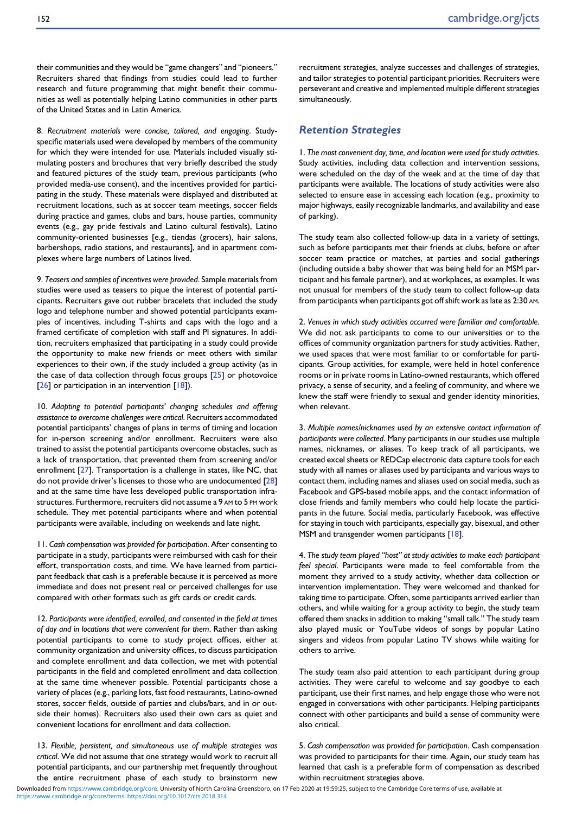their communities and they would be "game changers" and "pioneers." Recruiters shared that findings from studies could lead to further research and future programming that might benefit their communities as well as potentially helping Latino communities in other parts of the United States and in Latin America.

8. Recruitment materials were concise, tailored, and engaging. Studyspecific materials used were developed by members of the community for which they were intended for use. Materials included visually stimulating posters and brochures that very briefly described the study and featured pictures of the study team, previous participants (who provided media-use consent), and the incentives provided for participating in the study. These materials were displayed and distributed at recruitment locations, such as at soccer team meetings, soccer fields during practice and games, clubs and bars, house parties, community events (e.g., gay pride festivals and Latino cultural festivals), Latino community-oriented businesses [e.g., tiendas (grocers), hair salons, barbershops, radio stations, and restaurants], and in apartment complexes where large numbers of Latinos lived.

9. Teasers and samples of incentives were provided. Sample materials from studies were used as teasers to pique the interest of potential participants. Recruiters gave out rubber bracelets that included the study logo and telephone number and showed potential participants examples of incentives, including T-shirts and caps with the logo and a framed certificate of completion with staff and PI signatures. In addition, recruiters emphasized that participating in a study could provide the opportunity to make new friends or meet others with similar experiences to their own, if the study included a group activity (as in the case of data collection through focus groups [\[25](#page-9-0)] or photovoice [\[26](#page-9-0)] or participation in an intervention [\[18](#page-8-0)]).

10. Adapting to potential participants' changing schedules and offering assistance to overcome challenges were critical. Recruiters accommodated potential participants' changes of plans in terms of timing and location for in-person screening and/or enrollment. Recruiters were also trained to assist the potential participants overcome obstacles, such as a lack of transportation, that prevented them from screening and/or enrollment [\[27](#page-9-0)]. Transportation is a challenge in states, like NC, that do not provide driver's licenses to those who are undocumented [\[28](#page-9-0)] and at the same time have less developed public transportation infrastructures. Furthermore, recruiters did not assume a 9 AM to 5 PM work schedule. They met potential participants where and when potential participants were available, including on weekends and late night.

11. Cash compensation was provided for participation. After consenting to participate in a study, participants were reimbursed with cash for their effort, transportation costs, and time. We have learned from participant feedback that cash is a preferable because it is perceived as more immediate and does not present real or perceived challenges for use compared with other formats such as gift cards or credit cards.

12. Participants were identified, enrolled, and consented in the field at times of day and in locations that were convenient for them. Rather than asking potential participants to come to study project offices, either at community organization and university offices, to discuss participation and complete enrollment and data collection, we met with potential participants in the field and completed enrollment and data collection at the same time whenever possible. Potential participants chose a variety of places (e.g., parking lots, fast food restaurants, Latino-owned stores, soccer fields, outside of parties and clubs/bars, and in or outside their homes). Recruiters also used their own cars as quiet and convenient locations for enrollment and data collection.

13. Flexible, persistent, and simultaneous use of multiple strategies was critical. We did not assume that one strategy would work to recruit all potential participants, and our partnership met frequently throughout the entire recruitment phase of each study to brainstorm new

recruitment strategies, analyze successes and challenges of strategies, and tailor strategies to potential participant priorities. Recruiters were perseverant and creative and implemented multiple different strategies simultaneously.

#### Retention Strategies

1. The most convenient day, time, and location were used for study activities. Study activities, including data collection and intervention sessions, were scheduled on the day of the week and at the time of day that participants were available. The locations of study activities were also selected to ensure ease in accessing each location (e.g., proximity to major highways, easily recognizable landmarks, and availability and ease of parking).

The study team also collected follow-up data in a variety of settings, such as before participants met their friends at clubs, before or after soccer team practice or matches, at parties and social gatherings (including outside a baby shower that was being held for an MSM participant and his female partner), and at workplaces, as examples. It was not unusual for members of the study team to collect follow-up data from participants when participants got off shift work as late as 2:30 AM.

2. Venues in which study activities occurred were familiar and comfortable. We did not ask participants to come to our universities or to the offices of community organization partners for study activities. Rather, we used spaces that were most familiar to or comfortable for participants. Group activities, for example, were held in hotel conference rooms or in private rooms in Latino-owned restaurants, which offered privacy, a sense of security, and a feeling of community, and where we knew the staff were friendly to sexual and gender identity minorities, when relevant.

3. Multiple names/nicknames used by an extensive contact information of participants were collected. Many participants in our studies use multiple names, nicknames, or aliases. To keep track of all participants, we created excel sheets or REDCap electronic data capture tools for each study with all names or aliases used by participants and various ways to contact them, including names and aliases used on social media, such as Facebook and GPS-based mobile apps, and the contact information of close friends and family members who could help locate the participants in the future. Social media, particularly Facebook, was effective for staying in touch with participants, especially gay, bisexual, and other MSM and transgender women participants [[18\]](#page-8-0).

4. The study team played "host" at study activities to make each participant feel special. Participants were made to feel comfortable from the moment they arrived to a study activity, whether data collection or intervention implementation. They were welcomed and thanked for taking time to participate. Often, some participants arrived earlier than others, and while waiting for a group activity to begin, the study team offered them snacks in addition to making "small talk." The study team also played music or YouTube videos of songs by popular Latino singers and videos from popular Latino TV shows while waiting for others to arrive.

The study team also paid attention to each participant during group activities. They were careful to welcome and say goodbye to each participant, use their first names, and help engage those who were not engaged in conversations with other participants. Helping participants connect with other participants and build a sense of community were also critical.

5. Cash compensation was provided for participation. Cash compensation was provided to participants for their time. Again, our study team has learned that cash is a preferable form of compensation as described within recruitment strategies above.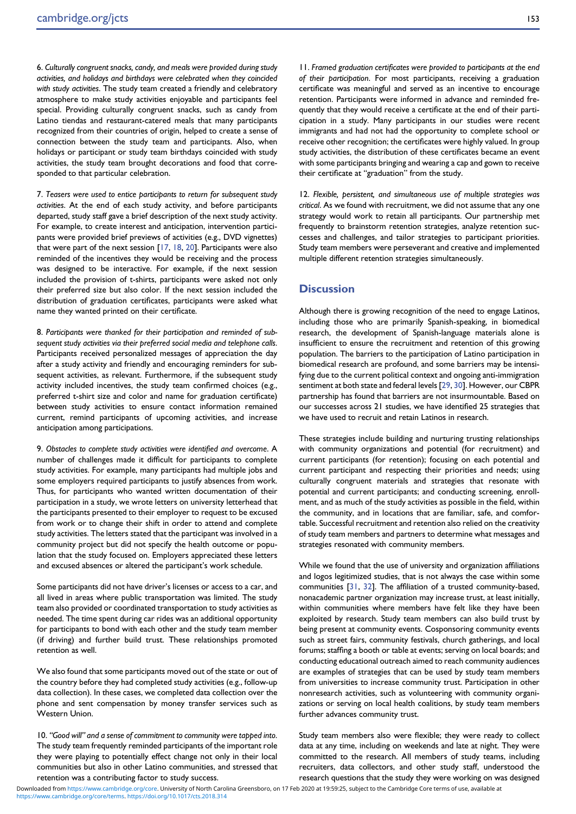6. Culturally congruent snacks, candy, and meals were provided during study activities, and holidays and birthdays were celebrated when they coincided with study activities. The study team created a friendly and celebratory atmosphere to make study activities enjoyable and participants feel special. Providing culturally congruent snacks, such as candy from Latino tiendas and restaurant-catered meals that many participants recognized from their countries of origin, helped to create a sense of connection between the study team and participants. Also, when holidays or participant or study team birthdays coincided with study activities, the study team brought decorations and food that corresponded to that particular celebration.

7. Teasers were used to entice participants to return for subsequent study activities. At the end of each study activity, and before participants departed, study staff gave a brief description of the next study activity. For example, to create interest and anticipation, intervention participants were provided brief previews of activities (e.g., DVD vignettes) that were part of the next session [\[17](#page-8-0), [18,](#page-8-0) [20](#page-8-0)]. Participants were also reminded of the incentives they would be receiving and the process was designed to be interactive. For example, if the next session included the provision of t-shirts, participants were asked not only their preferred size but also color. If the next session included the distribution of graduation certificates, participants were asked what name they wanted printed on their certificate.

8. Participants were thanked for their participation and reminded of subsequent study activities via their preferred social media and telephone calls. Participants received personalized messages of appreciation the day after a study activity and friendly and encouraging reminders for subsequent activities, as relevant. Furthermore, if the subsequent study activity included incentives, the study team confirmed choices (e.g., preferred t-shirt size and color and name for graduation certificate) between study activities to ensure contact information remained current, remind participants of upcoming activities, and increase anticipation among participations.

9. Obstacles to complete study activities were identified and overcome. A number of challenges made it difficult for participants to complete study activities. For example, many participants had multiple jobs and some employers required participants to justify absences from work. Thus, for participants who wanted written documentation of their participation in a study, we wrote letters on university letterhead that the participants presented to their employer to request to be excused from work or to change their shift in order to attend and complete study activities. The letters stated that the participant was involved in a community project but did not specify the health outcome or population that the study focused on. Employers appreciated these letters and excused absences or altered the participant's work schedule.

Some participants did not have driver's licenses or access to a car, and all lived in areas where public transportation was limited. The study team also provided or coordinated transportation to study activities as needed. The time spent during car rides was an additional opportunity for participants to bond with each other and the study team member (if driving) and further build trust. These relationships promoted retention as well.

We also found that some participants moved out of the state or out of the country before they had completed study activities (e.g., follow-up data collection). In these cases, we completed data collection over the phone and sent compensation by money transfer services such as Western Union.

10. "Good will" and a sense of commitment to community were tapped into. The study team frequently reminded participants of the important role they were playing to potentially effect change not only in their local communities but also in other Latino communities, and stressed that retention was a contributing factor to study success.

11. Framed graduation certificates were provided to participants at the end of their participation. For most participants, receiving a graduation certificate was meaningful and served as an incentive to encourage retention. Participants were informed in advance and reminded frequently that they would receive a certificate at the end of their participation in a study. Many participants in our studies were recent immigrants and had not had the opportunity to complete school or receive other recognition; the certificates were highly valued. In group study activities, the distribution of these certificates became an event with some participants bringing and wearing a cap and gown to receive their certificate at "graduation" from the study.

12. Flexible, persistent, and simultaneous use of multiple strategies was critical. As we found with recruitment, we did not assume that any one strategy would work to retain all participants. Our partnership met frequently to brainstorm retention strategies, analyze retention successes and challenges, and tailor strategies to participant priorities. Study team members were perseverant and creative and implemented multiple different retention strategies simultaneously.

#### **Discussion**

Although there is growing recognition of the need to engage Latinos, including those who are primarily Spanish-speaking, in biomedical research, the development of Spanish-language materials alone is insufficient to ensure the recruitment and retention of this growing population. The barriers to the participation of Latino participation in biomedical research are profound, and some barriers may be intensifying due to the current political context and ongoing anti-immigration sentiment at both state and federal levels [[29,](#page-9-0) [30\]](#page-9-0). However, our CBPR partnership has found that barriers are not insurmountable. Based on our successes across 21 studies, we have identified 25 strategies that we have used to recruit and retain Latinos in research.

These strategies include building and nurturing trusting relationships with community organizations and potential (for recruitment) and current participants (for retention); focusing on each potential and current participant and respecting their priorities and needs; using culturally congruent materials and strategies that resonate with potential and current participants; and conducting screening, enrollment, and as much of the study activities as possible in the field, within the community, and in locations that are familiar, safe, and comfortable. Successful recruitment and retention also relied on the creativity of study team members and partners to determine what messages and strategies resonated with community members.

While we found that the use of university and organization affiliations and logos legitimized studies, that is not always the case within some communities [[31,](#page-9-0) [32\]](#page-9-0). The affiliation of a trusted community-based, nonacademic partner organization may increase trust, at least initially, within communities where members have felt like they have been exploited by research. Study team members can also build trust by being present at community events. Cosponsoring community events such as street fairs, community festivals, church gatherings, and local forums; staffing a booth or table at events; serving on local boards; and conducting educational outreach aimed to reach community audiences are examples of strategies that can be used by study team members from universities to increase community trust. Participation in other nonresearch activities, such as volunteering with community organizations or serving on local health coalitions, by study team members further advances community trust.

Study team members also were flexible; they were ready to collect data at any time, including on weekends and late at night. They were committed to the research. All members of study teams, including recruiters, data collectors, and other study staff, understood the research questions that the study they were working on was designed

[https://www.cambridge.org/core/terms.](https://www.cambridge.org/core/terms) <https://doi.org/10.1017/cts.2018.314> Downloaded from [https://www.cambridge.org/core.](https://www.cambridge.org/core) University of North Carolina Greensboro, on 17 Feb 2020 at 19:59:25, subject to the Cambridge Core terms of use, available at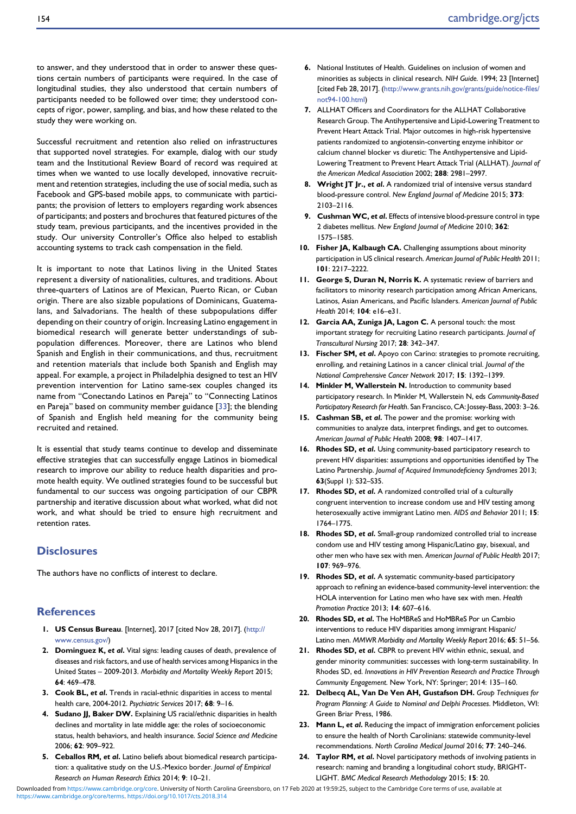<span id="page-8-0"></span>to answer, and they understood that in order to answer these questions certain numbers of participants were required. In the case of longitudinal studies, they also understood that certain numbers of participants needed to be followed over time; they understood concepts of rigor, power, sampling, and bias, and how these related to the study they were working on.

Successful recruitment and retention also relied on infrastructures that supported novel strategies. For example, dialog with our study team and the Institutional Review Board of record was required at times when we wanted to use locally developed, innovative recruitment and retention strategies, including the use of social media, such as Facebook and GPS-based mobile apps, to communicate with participants; the provision of letters to employers regarding work absences of participants; and posters and brochures that featured pictures of the study team, previous participants, and the incentives provided in the study. Our university Controller's Office also helped to establish accounting systems to track cash compensation in the field.

It is important to note that Latinos living in the United States represent a diversity of nationalities, cultures, and traditions. About three-quarters of Latinos are of Mexican, Puerto Rican, or Cuban origin. There are also sizable populations of Dominicans, Guatemalans, and Salvadorians. The health of these subpopulations differ depending on their country of origin. Increasing Latino engagement in biomedical research will generate better understandings of subpopulation differences. Moreover, there are Latinos who blend Spanish and English in their communications, and thus, recruitment and retention materials that include both Spanish and English may appeal. For example, a project in Philadelphia designed to test an HIV prevention intervention for Latino same-sex couples changed its name from "Conectando Latinos en Pareja" to "Connecting Latinos en Pareja" based on community member guidance [[33](#page-9-0)]; the blending of Spanish and English held meaning for the community being recruited and retained.

It is essential that study teams continue to develop and disseminate effective strategies that can successfully engage Latinos in biomedical research to improve our ability to reduce health disparities and promote health equity. We outlined strategies found to be successful but fundamental to our success was ongoing participation of our CBPR partnership and iterative discussion about what worked, what did not work, and what should be tried to ensure high recruitment and retention rates.

#### **Disclosures**

The authors have no conflicts of interest to declare.

#### **References**

- 1. US Census Bureau. [Internet], 2017 [cited Nov 28, 2017]. ([http://](http://www.census.gov/) [www.census.gov/\)](http://www.census.gov/)
- 2. Dominguez K, et al. Vital signs: leading causes of death, prevalence of diseases and risk factors, and use of health services among Hispanics in the United States – 2009-2013. Morbidity and Mortality Weekly Report 2015; 64: 469–478.
- 3. Cook BL, et al. Trends in racial-ethnic disparities in access to mental health care, 2004-2012. Psychiatric Services 2017; 68: 9–16.
- 4. Sudano JJ, Baker DW. Explaining US racial/ethnic disparities in health declines and mortality in late middle age: the roles of socioeconomic status, health behaviors, and health insurance. Social Science and Medicine 2006; 62: 909–922.
- 5. Ceballos RM, et al. Latino beliefs about biomedical research participation: a qualitative study on the U.S.-Mexico border. Journal of Empirical Research on Human Research Ethics 2014; 9: 10–21.
- 6. National Institutes of Health. Guidelines on inclusion of women and minorities as subjects in clinical research. NIH Guide. 1994; 23 [Internet] [cited Feb 28, 2017]. [\(http://www.grants.nih.gov/grants/guide/notice-](http://www.grants.nih.gov/grants/guide/notice-files/not94-100.html)files/ [not94-100.html\)](http://www.grants.nih.gov/grants/guide/notice-files/not94-100.html)
- 7. ALLHAT Officers and Coordinators for the ALLHAT Collaborative Research Group. The Antihypertensive and Lipid-Lowering Treatment to Prevent Heart Attack Trial. Major outcomes in high-risk hypertensive patients randomized to angiotensin-converting enzyme inhibitor or calcium channel blocker vs diuretic: The Antihypertensive and Lipid-Lowering Treatment to Prevent Heart Attack Trial (ALLHAT). Journal of the American Medical Association 2002; 288: 2981–2997.
- 8. Wright JT Jr., et al. A randomized trial of intensive versus standard blood-pressure control. New England Journal of Medicine 2015; 373: 2103–2116.
- 9. Cushman WC, et al. Effects of intensive blood-pressure control in type 2 diabetes mellitus. New England Journal of Medicine 2010; 362: 1575–1585.
- 10. Fisher JA, Kalbaugh CA. Challenging assumptions about minority participation in US clinical research. American Journal of Public Health 2011; 101: 2217–2222.
- 11. George S, Duran N, Norris K. A systematic review of barriers and facilitators to minority research participation among African Americans, Latinos, Asian Americans, and Pacific Islanders. American Journal of Public Health 2014; 104: e16–e31.
- 12. Garcia AA, Zuniga JA, Lagon C. A personal touch: the most important strategy for recruiting Latino research participants. Journal of Transcultural Nursing 2017; 28: 342–347.
- 13. Fischer SM, et al. Apoyo con Carino: strategies to promote recruiting, enrolling, and retaining Latinos in a cancer clinical trial. Journal of the National Comprehensive Cancer Network 2017; 15: 1392–1399.
- 14. Minkler M, Wallerstein N. Introduction to community based participatory research. In Minkler M, Wallerstein N, eds Community-Based Participatory Research for Health. San Francisco, CA: Jossey-Bass, 2003: 3–26.
- 15. Cashman SB, et al. The power and the promise: working with communities to analyze data, interpret findings, and get to outcomes. American Journal of Public Health 2008; 98: 1407–1417.
- 16. Rhodes SD, et al. Using community-based participatory research to prevent HIV disparities: assumptions and opportunities identified by The Latino Partnership. Journal of Acquired Immunodeficiency Syndromes 2013; 63(Suppl 1): S32–S35.
- 17. Rhodes SD, et al. A randomized controlled trial of a culturally congruent intervention to increase condom use and HIV testing among heterosexually active immigrant Latino men. AIDS and Behavior 2011; 15: 1764–1775.
- 18. Rhodes SD, et al. Small-group randomized controlled trial to increase condom use and HIV testing among Hispanic/Latino gay, bisexual, and other men who have sex with men. American Journal of Public Health 2017; 107: 969–976.
- 19. Rhodes SD, et al. A systematic community-based participatory approach to refining an evidence-based community-level intervention: the HOLA intervention for Latino men who have sex with men. Health Promotion Practice 2013; 14: 607–616.
- 20. Rhodes SD, et al. The HoMBReS and HoMBReS Por un Cambio interventions to reduce HIV disparities among immigrant Hispanic/ Latino men. MMWR Morbidity and Mortality Weekly Report 2016; 65: 51–56.
- 21. Rhodes SD, et al. CBPR to prevent HIV within ethnic, sexual, and gender minority communities: successes with long-term sustainability. In Rhodes SD, ed. Innovations in HIV Prevention Research and Practice Through Community Engagement. New York, NY: Springer; 2014: 135–160.
- 22. Delbecq AL, Van De Ven AH, Gustafson DH. Group Techniques for Program Planning: A Guide to Nominal and Delphi Processes. Middleton, WI: Green Briar Press, 1986.
- 23. Mann L, et al. Reducing the impact of immigration enforcement policies to ensure the health of North Carolinians: statewide community-level recommendations. North Carolina Medical Journal 2016; 77: 240–246.
- 24. Taylor RM, et al. Novel participatory methods of involving patients in research: naming and branding a longitudinal cohort study, BRIGHT-LIGHT. BMC Medical Research Methodology 2015; 15: 20.

[https://www.cambridge.org/core/terms.](https://www.cambridge.org/core/terms) <https://doi.org/10.1017/cts.2018.314> Downloaded from [https://www.cambridge.org/core.](https://www.cambridge.org/core) University of North Carolina Greensboro, on 17 Feb 2020 at 19:59:25, subject to the Cambridge Core terms of use, available at